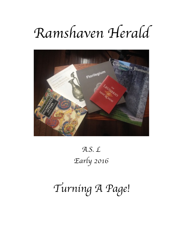# *Ramshaven Herald*



## *A.S. L Early 2016*

## *Turning A Page!*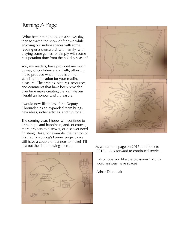### Turning A Page

What better thing to do on a snowy day, than to watch the snow drift down while enjoying our indoor spaces with some reading or a crossword, with family, with playing some games, or simply with some recuperation time from the holiday season?

You, my readers, have provided me much by way of confidence and faith, allowing me to produce what I hope is a finestanding publication for your reading pleasure. The articles, pictures, resources and comments that have been provided over time make creating the Ramshaven Herald an honour and a pleasure.

I would now like to ask for a Deputy Chronicler, as an expanded team brings new ideas, richer articles, and fun for all!

The coming year, I hope, will continue to bring hope and happiness, and, of course, more projects to discover, or discover need finishing. Take, for example, the Canton of Bryniau Tywynnog's banner project - we still have a couple of banners to make! I'll just put the draft drawings here... As we turn the page on 2015, and look to





2016, I look forward to continued service.

I also hope you like the crossword! Multiword answers have spaces

Adnar Dionadair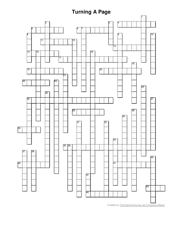### **Turning A Page**



Created on TheTeachersCorner.net Crossword Maker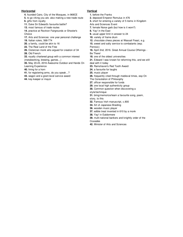#### **Horizontal**

- **4.** founded Cairo, City of the Mosques, in 969CE
- **5.** to go viking you are. also making a new trade route
- **6.** gifts from royalty
- **11.** Duke Sir Edward's favourite battle?
- **13.** most famous of trade routes

**14.** practice at Rockton Fairgrounds or Shooter's **Choice** 

- **17.** Arts and Sciences: one year personal challenge
- **19.** Italian rulers, 568-774
- **20.** a family, could be akin to 16
- **22.** The Real Land of the Free
- **26.** Cistercian monk who argued for creation of 34 **28.** Old French
- **33.** royally chartered group with a common interest (metalworking, brewing, games...)
- **35.** May 20-23, 2016 Awesome Outdoor and Hands On Learning Experience
- **40.** lining for a horn
- **41.** for registering arms, do you speak...?
- **43.** wagon and a grant-level service award
- **44.** key-keeper or mayor

#### **Vertical**

- **1.** before the Franks
- **2.** deposed Emperor Romulus in 476
- **3.** short for entering a variety of 5 items in Kingdom
- Arts and Sciences Event
- **7.** female Norse garb (but how is it worn?)
- **8.** Yay! in the East
- **9.** usual upper limit in answer to 24
- **10.** variety of frame drum
- **12.** chocolate chess pieces at Wassail Feast, e.g.
- **15.** sweet and salty service to combatants (esp.
- Pennsic)
- **16.** April 2nd, 2016. Great Annual Course Offerings -
- Be There!
	- **18.** one of the oldest universities
	- **21.** Edward I was known for reforming this, and we still deal with it today
	- **23.** Ramshaven's Red Tooth Award
	- **24.** a favourite for laughs
	- **25.** music player
	- **26.** frequently cited through medieval times, esp On
	- The Consolation of Philosophy
	- **27.** officer responsible for funds
	- **29.** one local high authenticity group
	- **30.** Common question when discovering a
	- style/technique
	- **31.** bring/memorize/learn a favourite song, poem,
	- story, to this
	- **32.** Famous Irish manuscript, c.800
	- **34.** Art of Japanese Braiding
	- **36.** wooden music player
	- **37.** edible treat invented in 610 by a monk
	- **38.** Yay! in Ealdormere
	- **39.** multi-national bankers and knightly order of the Crusades
	- **42.** Minister of Arts and Sciences